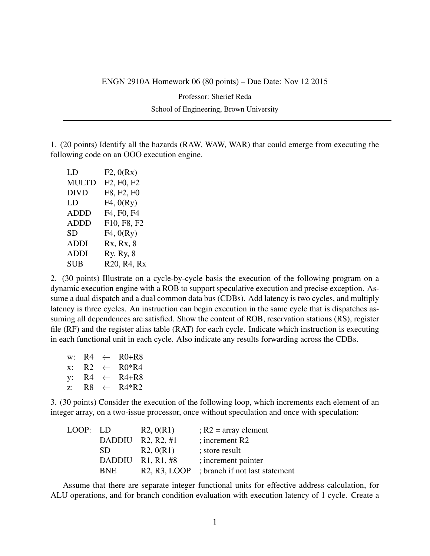ENGN 2910A Homework 06 (80 points) – Due Date: Nov 12 2015

Professor: Sherief Reda School of Engineering, Brown University

1. (20 points) Identify all the hazards (RAW, WAW, WAR) that could emerge from executing the following code on an OOO execution engine.

| LD           | F2, 0(Rx)   |
|--------------|-------------|
| <b>MULTD</b> | F2, F0, F2  |
| <b>DIVD</b>  | F8, F2, F0  |
| LD           | F4, 0(Ry)   |
| <b>ADDD</b>  | F4, F0, F4  |
| ADDD         | F10, F8, F2 |
| <b>SD</b>    | F4, 0(Ry)   |
| ADDI         | Rx, Rx, 8   |
| <b>ADDI</b>  | Ry, Ry, 8   |
| <b>SUB</b>   | R20, R4, Rx |
|              |             |

2. (30 points) Illustrate on a cycle-by-cycle basis the execution of the following program on a dynamic execution engine with a ROB to support speculative execution and precise exception. Assume a dual dispatch and a dual common data bus (CDBs). Add latency is two cycles, and multiply latency is three cycles. An instruction can begin execution in the same cycle that is dispatches assuming all dependences are satisfied. Show the content of ROB, reservation stations (RS), register file (RF) and the register alias table (RAT) for each cycle. Indicate which instruction is executing in each functional unit in each cycle. Also indicate any results forwarding across the CDBs.

|       | w: R4 $\leftarrow$ |                 | $R0+R8$   |
|-------|--------------------|-----------------|-----------|
| $X$ : |                    | $R2 \leftarrow$ | $R0*R4$   |
| y:    |                    | $R4 \leftarrow$ | $R4 + R8$ |
| Z:    |                    | $RS \leftarrow$ | $R4*R2$   |

3. (30 points) Consider the execution of the following loop, which increments each element of an integer array, on a two-issue processor, once without speculation and once with speculation:

| LOOP: LD |            | R2, 0(R1)           | $R2 = \text{array element}$                 |
|----------|------------|---------------------|---------------------------------------------|
|          |            | DADDIU R2, R2, #1   | ; increment $R2$                            |
|          | SD.        | R2, 0(R1)           | ; store result                              |
|          |            | DADDIU $R1, R1, #8$ | ; increment pointer                         |
|          | <b>BNE</b> |                     | R2, R3, LOOP ; branch if not last statement |
|          |            |                     |                                             |

Assume that there are separate integer functional units for effective address calculation, for ALU operations, and for branch condition evaluation with execution latency of 1 cycle. Create a